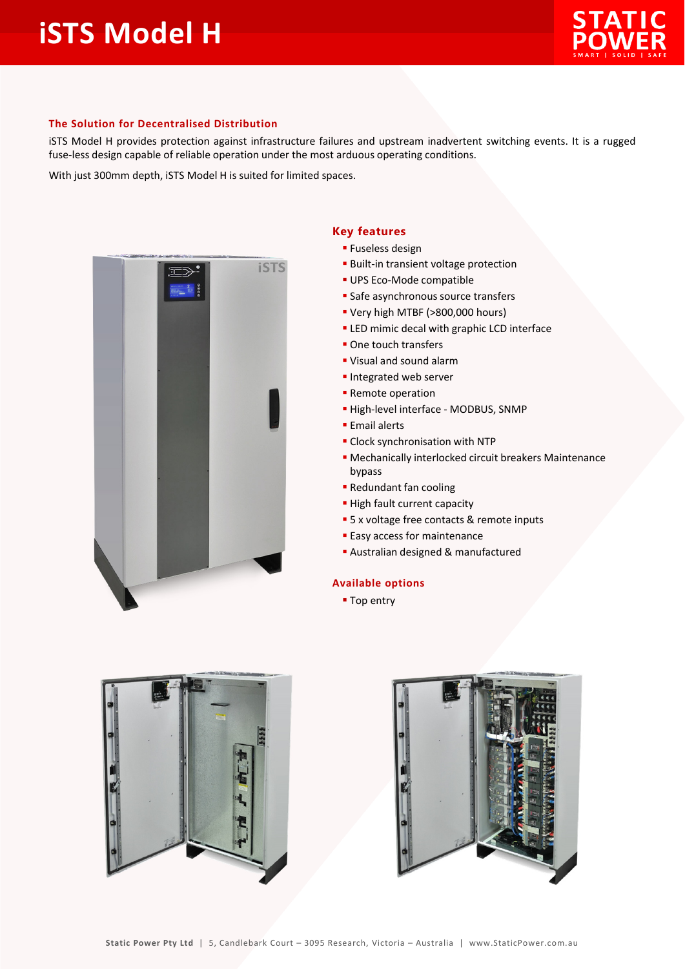

## **The Solution for Decentralised Distribution**

iSTS Model H provides protection against infrastructure failures and upstream inadvertent switching events. It is a rugged fuse-less design capable of reliable operation under the most arduous operating conditions.

With just 300mm depth, iSTS Model H is suited for limited spaces.



## **Key features**

- **Fuseless design**
- Built-in transient voltage protection
- UPS Eco-Mode compatible
- **Safe asynchronous source transfers**
- Very high MTBF (>800,000 hours)
- **ELED** mimic decal with graphic LCD interface
- One touch transfers
- Visual and sound alarm
- **Integrated web server**
- **Remote operation**
- High-level interface MODBUS, SNMP
- **Email alerts**
- Clock synchronisation with NTP
- Mechanically interlocked circuit breakers Maintenance bypass
- Redundant fan cooling
- **High fault current capacity**
- **5** x voltage free contacts & remote inputs
- **Easy access for maintenance**
- Australian designed & manufactured

## **Available options**

**Top entry**